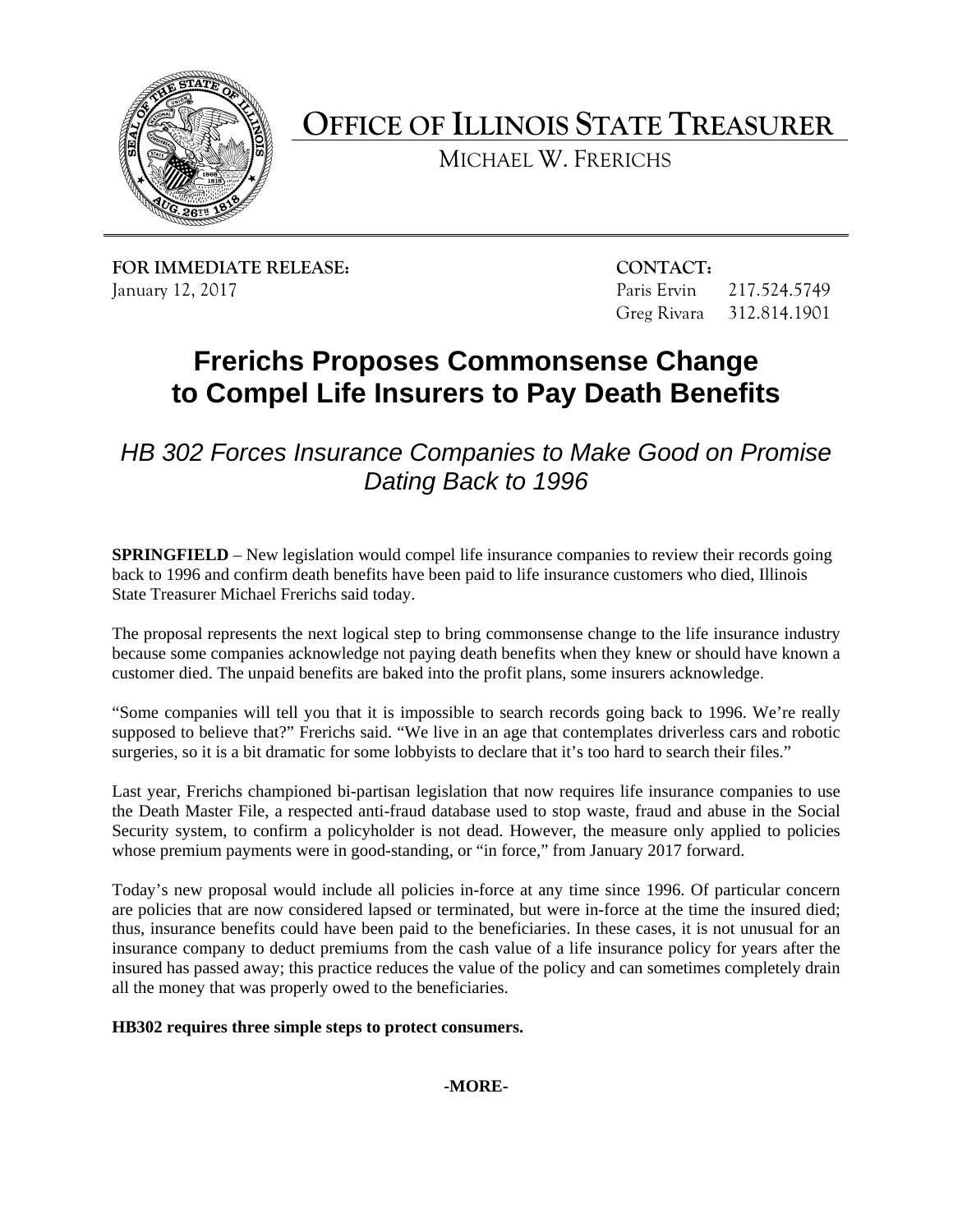

**OFFICE OF ILLINOIS STATE TREASURER**

MICHAEL W. FRERICHS

**FOR IMMEDIATE RELEASE: CONTACT:** January 12, 2017 Paris Ervin 217.524.5749

Greg Rivara 312.814.1901

## **Frerichs Proposes Commonsense Change to Compel Life Insurers to Pay Death Benefits**

*HB 302 Forces Insurance Companies to Make Good on Promise Dating Back to 1996*

**SPRINGFIELD** – New legislation would compel life insurance companies to review their records going back to 1996 and confirm death benefits have been paid to life insurance customers who died, Illinois State Treasurer Michael Frerichs said today.

The proposal represents the next logical step to bring commonsense change to the life insurance industry because some companies acknowledge not paying death benefits when they knew or should have known a customer died. The unpaid benefits are baked into the profit plans, some insurers acknowledge.

"Some companies will tell you that it is impossible to search records going back to 1996. We're really supposed to believe that?" Frerichs said. "We live in an age that contemplates driverless cars and robotic surgeries, so it is a bit dramatic for some lobbyists to declare that it's too hard to search their files."

Last year, Frerichs championed bi-partisan legislation that now requires life insurance companies to use the Death Master File, a respected anti-fraud database used to stop waste, fraud and abuse in the Social Security system, to confirm a policyholder is not dead. However, the measure only applied to policies whose premium payments were in good-standing, or "in force," from January 2017 forward.

Today's new proposal would include all policies in-force at any time since 1996. Of particular concern are policies that are now considered lapsed or terminated, but were in-force at the time the insured died; thus, insurance benefits could have been paid to the beneficiaries. In these cases, it is not unusual for an insurance company to deduct premiums from the cash value of a life insurance policy for years after the insured has passed away; this practice reduces the value of the policy and can sometimes completely drain all the money that was properly owed to the beneficiaries.

**HB302 requires three simple steps to protect consumers.**

**-MORE-**